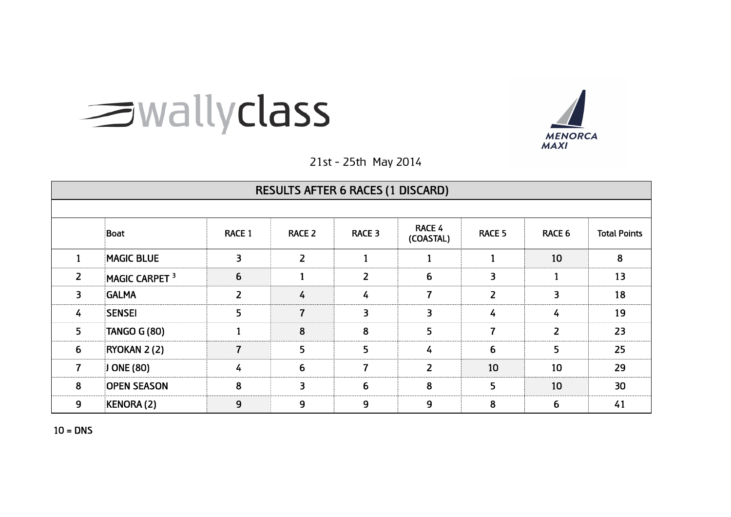# **Samuallyclass**



21st - 25th May 2014

|                | <b>RESULTS AFTER 6 RACES (1 DISCARD)</b> |               |                   |                   |                     |                |                          |                     |  |  |  |  |  |
|----------------|------------------------------------------|---------------|-------------------|-------------------|---------------------|----------------|--------------------------|---------------------|--|--|--|--|--|
|                |                                          |               |                   |                   |                     |                |                          |                     |  |  |  |  |  |
|                | <b>Boat</b>                              | <b>RACE 1</b> | RACE <sub>2</sub> | RACE <sub>3</sub> | RACE 4<br>(COASTAL) | RACE 5         | <b>RACE 6</b>            | <b>Total Points</b> |  |  |  |  |  |
|                | <b>MAGIC BLUE</b>                        | 3             | $\overline{z}$    |                   |                     |                | 10                       | 8                   |  |  |  |  |  |
| 2              | MAGIC CARPET 3                           | 6             |                   | $\overline{z}$    | 6                   | 3              |                          | 13                  |  |  |  |  |  |
| $\overline{3}$ | <b>GALMA</b>                             | 2             | 4                 | 4                 | 7                   | $\overline{2}$ | 3                        | 18                  |  |  |  |  |  |
| 4              | <b>SENSEI</b>                            | 5             | $\overline{7}$    | 3                 | 3                   | 4              | 4                        | 19                  |  |  |  |  |  |
| 5              | <b>TANGO G (80)</b>                      |               | 8                 | 8                 | 5                   | 7              | $\overline{\phantom{a}}$ | 23                  |  |  |  |  |  |
| 6              | RYOKAN 2(2)                              | 7             | 5                 | 5                 | 4                   | 6              | 5                        | 25                  |  |  |  |  |  |
| $\overline{7}$ | J ONE (80)                               | 4             | 6                 | 7                 | 2                   | 10             | 10                       | 29                  |  |  |  |  |  |
| 8              | <b>OPEN SEASON</b>                       | 8             | 3                 | 6                 | 8                   | 5              | 10                       | 30                  |  |  |  |  |  |
| 9              | KENORA (2)                               | 9             | 9                 | 9                 | 9                   | 8              | 6                        | 41                  |  |  |  |  |  |

10 = DNS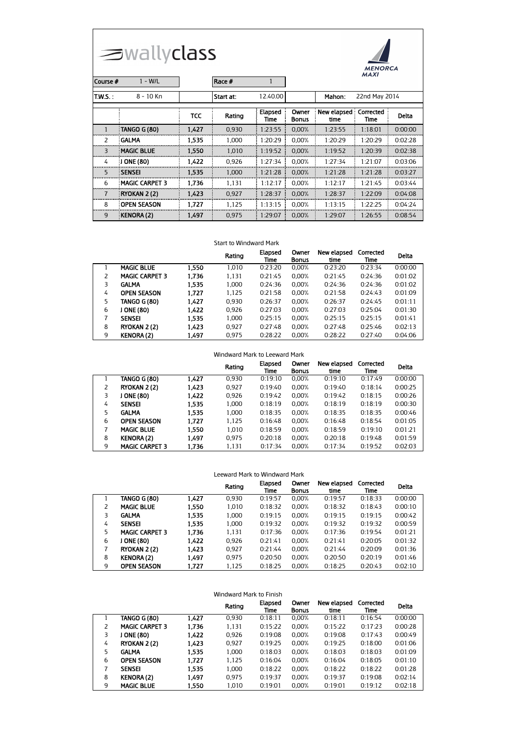| Course #       | $\equiv$ wallyclass<br>$1 - W/L$ |            |           |                 | <b>MENORCA</b><br><b>MAXI</b> |                     |                   |              |
|----------------|----------------------------------|------------|-----------|-----------------|-------------------------------|---------------------|-------------------|--------------|
| $T.W.S.$ :     | 8 - 10 Kn                        |            | Start at: | 12.40.00        |                               | Mahon:              | 22nd May 2014     |              |
|                |                                  | <b>TCC</b> | Rating    | Elapsed<br>Time | Owner<br><b>Bonus</b>         | New elapsed<br>time | Corrected<br>Time | <b>Delta</b> |
| $\mathbf{1}$   | <b>TANGO G (80)</b>              | 1,427      | 0,930     | 1:23:55         | 0,00%                         | 1:23:55             | 1:18:01           | 0:00:00      |
| 2              | <b>GALMA</b>                     | 1,535      | 1,000     | 1:20:29         | 0,00%                         | 1:20:29             | 1:20:29           | 0:02:28      |
| 3              | <b>MAGIC BLUE</b>                | 1,550      | 1,010     | 1:19:52         | 0.00%                         | 1:19:52             | 1:20:39           | 0:02:38      |
| 4              | J ONE (80)                       | 1,422      | 0,926     | 1:27:34         | 0,00%                         | 1:27:34             | 1:21:07           | 0:03:06      |
| 5              | <b>SENSEI</b>                    | 1,535      | 1,000     | 1:21:28         | 0,00%                         | 1:21:28             | 1:21:28           | 0:03:27      |
| 6              | <b>MAGIC CARPET 3</b>            | 1,736      | 1,131     | 1:12:17         | 0,00%                         | 1:12:17             | 1:21:45           | 0:03:44      |
| $\overline{7}$ | <b>RYOKAN 2 (2)</b>              | 1,423      | 0,927     | 1.28:37         | 0,00%                         | 1:28:37             | 1:22:09           | 0:04:08      |
| 8              | <b>OPEN SEASON</b>               | 1,727      | 1.125     | 1:13:15         | 0,00%                         | 1:13:15             | 1:22:25           | 0:04:24      |
| 9              | <b>KENORA (2)</b>                | 1,497      | 0,975     | 1.29.07         | 0,00%                         | 1:29:07             | 1:26:55           | 0:08:54      |

#### Start to Windward Mark

|   |                       |       | Rating | Elapsed<br>Time | Owner<br><b>Bonus</b> | New elapsed<br>time | Corrected<br>Time | Delta   |
|---|-----------------------|-------|--------|-----------------|-----------------------|---------------------|-------------------|---------|
|   | <b>MAGIC BLUE</b>     | 1,550 | 1.010  | 0:23:20         | 0.00%                 | 0:23:20             | 0:23:34           | 0:00:00 |
|   | <b>MAGIC CARPET 3</b> | 1.736 | 1,131  | 0:21:45         | 0.00%                 | 0:21:45             | 0:24:36           | 0:01:02 |
| 3 | <b>GALMA</b>          | 1,535 | 1.000  | 0:24:36         | 0.00%                 | 0:24:36             | 0:24:36           | 0:01:02 |
| 4 | <b>OPEN SEASON</b>    | 1.727 | 1.125  | 0:21:58         | 0.00%                 | 0:21:58             | 0:24:43           | 0:01:09 |
| 5 | <b>TANGO G (80)</b>   | 1.427 | 0.930  | 0:26:37         | 0.00%                 | 0:26:37             | 0:24:45           | 0:01:11 |
| 6 | ONE (80)              | 1,422 | 0.926  | 0:27:03         | 0.00%                 | 0:27:03             | 0:25:04           | 0:01:30 |
|   | <b>SENSEI</b>         | 1.535 | 1.000  | 0:25:15         | 0.00%                 | 0:25:15             | 0:25:15           | 0:01:41 |
| 8 | <b>RYOKAN 2 (2)</b>   | 1.423 | 0.927  | 0:27:48         | 0.00%                 | 0:27:48             | 0:25:46           | 0:02:13 |
| 9 | <b>KENORA (2)</b>     | 1.497 | 0.975  | 0:28:22         | 0.00%                 | 0:28:22             | 0:27:40           | 0:04:06 |

#### Windward Mark to Leeward Mark

|    |                       |       | Rating | Elapsed<br>Time | Owner<br><b>Bonus</b> | New elapsed<br>time | Corrected<br>Time | <b>Delta</b> |
|----|-----------------------|-------|--------|-----------------|-----------------------|---------------------|-------------------|--------------|
|    | TANGO G (80)          | 1.427 | 0.930  | 0:19:10         | 0.00%                 | 0:19:10             | 0:17:49           | 0:00:00      |
| 2  | RYOKAN 2 (2)          | 1.423 | 0.927  | 0:19:40         | 0.00%                 | 0:19:40             | 0:18:14           | 0:00:25      |
| 3  | J ONE (80)            | 1.422 | 0.926  | 0:19:42         | 0.00%                 | 0:19:42             | 0:18:15           | 0:00:26      |
| 4  | <b>SENSEI</b>         | 1.535 | 1.000  | 0:18:19         | 0.00%                 | 0:18:19             | 0:18:19           | 0:00:30      |
| 5. | <b>GALMA</b>          | 1.535 | 1,000  | 0:18:35         | 0.00%                 | 0:18:35             | 0:18:35           | 0:00:46      |
| 6  | <b>OPEN SEASON</b>    | 1.727 | 1,125  | 0:16:48         | 0.00%                 | 0:16:48             | 0:18:54           | 0:01:05      |
| 7  | <b>MAGIC BLUE</b>     | 1.550 | 1.010  | 0:18:59         | 0.00%                 | 0:18:59             | 0:19:10           | 0:01:21      |
| 8  | <b>KENORA (2)</b>     | 1.497 | 0.975  | 0:20:18         | 0.00%                 | 0:20:18             | 0:19:48           | 0:01:59      |
| 9  | <b>MAGIC CARPET 3</b> | 1,736 | 1,131  | 0:17:34         | 0.00%                 | 0:17:34             | 0:19:52           | 0:02:03      |

| Leeward Mark to Windward Mark                                                                  |                       |       |       |         |       |         |         |         |
|------------------------------------------------------------------------------------------------|-----------------------|-------|-------|---------|-------|---------|---------|---------|
| Owner<br>New elapsed<br>Elapsed<br>Corrected<br>Rating<br><b>Bonus</b><br>time<br>Time<br>Time |                       |       |       |         |       |         |         |         |
|                                                                                                | <b>TANGO G (80)</b>   | 1.427 | 0,930 | 0:19:57 | 0.00% | 0:19:57 | 0:18:33 | 0:00:00 |
| 2                                                                                              | <b>MAGIC BLUE</b>     | 1.550 | 1.010 | 0:18:32 | 0.00% | 0:18:32 | 0:18:43 | 0:00:10 |
| 3                                                                                              | <b>GALMA</b>          | 1.535 | 1,000 | 0:19:15 | 0.00% | 0:19:15 | 0:19:15 | 0:00:42 |
| 4                                                                                              | <b>SENSEI</b>         | 1.535 | 1,000 | 0:19:32 | 0.00% | 0:19:32 | 0:19:32 | 0:00:59 |
| 5                                                                                              | <b>MAGIC CARPET 3</b> | 1.736 | 1,131 | 0:17:36 | 0.00% | 0:17:36 | 0:19:54 | 0:01:21 |
| 6                                                                                              | J ONE (80)            | 1.422 | 0.926 | 0:21:41 | 0.00% | 0:21:41 | 0:20:05 | 0:01:32 |
| 7                                                                                              | RYOKAN 2 (2)          | 1.423 | 0,927 | 0:21:44 | 0.00% | 0:21:44 | 0:20:09 | 0:01:36 |
| 8                                                                                              | <b>KENORA (2)</b>     | 1.497 | 0,975 | 0:20:50 | 0.00% | 0:20:50 | 0:20:19 | 0:01:46 |
| 9                                                                                              | <b>OPEN SEASON</b>    | 1.727 | 1,125 | 0:18:25 | 0.00% | 0:18:25 | 0:20:43 | 0:02:10 |

| Windward Mark to Finish |                       |       |        |                 |                       |                     |                   |         |
|-------------------------|-----------------------|-------|--------|-----------------|-----------------------|---------------------|-------------------|---------|
|                         |                       |       | Rating | Elapsed<br>Time | Owner<br><b>Bonus</b> | New elapsed<br>time | Corrected<br>Time | Delta   |
|                         | <b>TANGO G (80)</b>   | 1.427 | 0.930  | 0:18:11         | $0.00\%$              | 0:18:11             | 0:16:54           | 0:00:00 |
| 2                       | <b>MAGIC CARPET 3</b> | 1.736 | 1,131  | 0:15:22         | 0.00%                 | 0:15:22             | 0:17:23           | 0:00:28 |
| 3                       | J ONE (80)            | 1,422 | 0.926  | 0:19:08         | 0.00%                 | 0:19:08             | 0:17:43           | 0:00:49 |
| 4                       | <b>RYOKAN 2 (2)</b>   | 1,423 | 0.927  | 0:19:25         | 0.00%                 | 0:19:25             | 0:18:00           | 0:01:06 |
| 5                       | <b>GALMA</b>          | 1,535 | 1.000  | 0:18:03         | 0.00%                 | 0:18:03             | 0:18:03           | 0:01:09 |
| 6                       | <b>OPEN SEASON</b>    | 1.727 | 1.125  | 0:16:04         | 0.00%                 | 0:16:04             | 0:18:05           | 0:01:10 |
| 7                       | <b>SENSEI</b>         | 1,535 | 1.000  | 0:18:22         | 0.00%                 | 0:18:22             | 0:18:22           | 0:01:28 |
| 8                       | <b>KENORA (2)</b>     | 1.497 | 0.975  | 0:19:37         | 0.00%                 | 0:19:37             | 0:19:08           | 0:02:14 |
| 9                       | <b>MAGIC BLUE</b>     | 1.550 | 1.010  | 0:19:01         | 0.00%                 | 0:19:01             | 0:19:12           | 0:02:18 |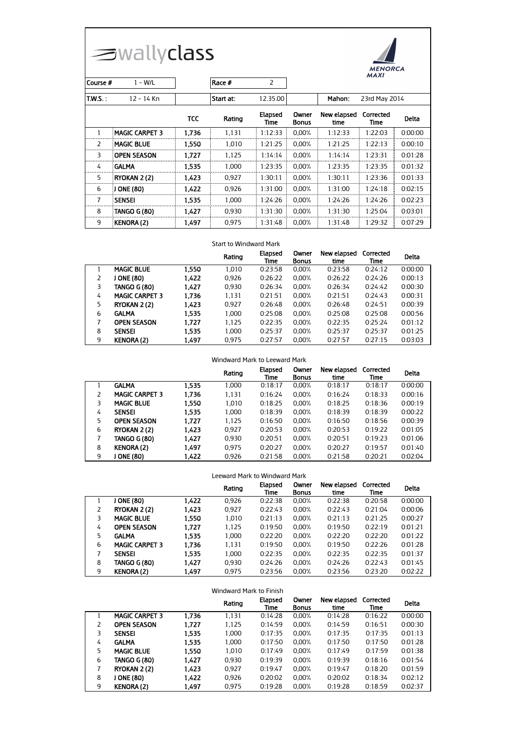## **SWallyclass**



|                |                       |            |           |                 |                       |                     | MAXI              |              |
|----------------|-----------------------|------------|-----------|-----------------|-----------------------|---------------------|-------------------|--------------|
| Course #       | $1 - W/L$             |            | Race #    | 2               |                       |                     |                   |              |
| $T.W.S.$ :     | 12 - 14 Kn            |            | Start at: | 12.35.00        |                       | Mahon:              | 23rd May 2014     |              |
|                |                       | <b>TCC</b> | Rating    | Elapsed<br>Time | Owner<br><b>Bonus</b> | New elapsed<br>time | Corrected<br>Time | <b>Delta</b> |
| $\mathbf{1}$   | <b>MAGIC CARPET 3</b> | 1.736      | 1,131     | 1:12:33         | 0,00%                 | 1:12:33             | 1:22:03           | 0:00:00      |
| 2              | <b>MAGIC BLUE</b>     | 1,550      | 1,010     | 1:21:25         | 0.00%                 | 1:21:25             | 1:22:13           | 0:00:10      |
| 3              | <b>OPEN SEASON</b>    | 1.727      | 1,125     | 1:14:14         | 0,00%                 | 1:14:14             | 1:23:31           | 0:01:28      |
| 4              | <b>GALMA</b>          | 1,535      | 1,000     | 1:23:35         | 0,00%                 | 1:23:35             | 1:23:35           | 0:01:32      |
| 5              | RYOKAN 2(2)           | 1.423      | 0,927     | 1:30:11         | 0.00%                 | 1:30:11             | 1:23:36           | 0:01:33      |
| 6              | J ONE (80)            | 1.422      | 0,926     | 1:31:00         | 0.00%                 | 1:31:00             | 1:24:18           | 0:02:15      |
| $\overline{7}$ | <b>SENSEI</b>         | 1.535      | 1,000     | 1:24:26         | 0,00%                 | 1:24:26             | 1:24:26           | 0:02:23      |
| 8              | TANGO G (80)          | 1.427      | 0.930     | 1:31:30         | 0,00%                 | 1:31:30             | 1:25:04           | 0:03:01      |
| 9              | <b>KENORA (2)</b>     | 1,497      | 0.975     | 1:31:48         | 0.00%                 | 1:31:48             | 1:29:32           | 0:07:29      |

#### Start to Windward Mark

|   |                       |       | Rating | Elapsed<br>Time | Owner<br><b>Bonus</b> | New elapsed<br>time | Corrected<br>Time | <b>Delta</b> |
|---|-----------------------|-------|--------|-----------------|-----------------------|---------------------|-------------------|--------------|
|   | <b>MAGIC BLUE</b>     | 1.550 | 1,010  | 0:23:58         | 0.00%                 | 0:23:58             | 0:24:12           | 0:00:00      |
| 2 | ONE (80)              | 1.422 | 0.926  | 0:26:22         | 0.00%                 | 0:26:22             | 0:24:26           | 0:00:13      |
| 3 | TANGO G (80)          | 1,427 | 0.930  | 0:26:34         | 0.00%                 | 0:26:34             | 0:24:42           | 0:00:30      |
| 4 | <b>MAGIC CARPET 3</b> | 1,736 | 1,131  | 0:21:51         | 0.00%                 | 0:21:51             | 0:24:43           | 0:00:31      |
| 5 | RYOKAN 2(2)           | 1.423 | 0.927  | 0:26:48         | 0.00%                 | 0:26:48             | 0:24:51           | 0:00:39      |
| 6 | <b>GALMA</b>          | 1.535 | 1.000  | 0:25:08         | 0.00%                 | 0:25:08             | 0:25:08           | 0:00:56      |
| 7 | <b>OPEN SEASON</b>    | 1.727 | 1.125  | 0:22:35         | 0.00%                 | 0:22:35             | 0:25:24           | 0:01:12      |
| 8 | <b>SENSEI</b>         | 1.535 | 1.000  | 0:25:37         | 0.00%                 | 0:25:37             | 0:25:37           | 0:01:25      |
| 9 | <b>KENORA (2)</b>     | 1,497 | 0.975  | 0:27:57         | 0.00%                 | 0:27:57             | 0:27:15           | 0:03:03      |

#### Windward Mark to Leeward Mark

|   |                       |       | Rating | Elapsed<br>Time | Owner<br><b>Bonus</b> | New elapsed<br>time | Corrected<br>Time | <b>Delta</b> |
|---|-----------------------|-------|--------|-----------------|-----------------------|---------------------|-------------------|--------------|
|   | <b>GALMA</b>          | 1.535 | 1.000  | 0:18:17         | $0.00\%$              | 0:18:17             | 0:18:17           | 0:00:00      |
| 2 | <b>MAGIC CARPET 3</b> | 1.736 | 1,131  | 0:16:24         | $0.00\%$              | 0:16:24             | 0:18:33           | 0:00:16      |
| 3 | <b>MAGIC BLUE</b>     | 1,550 | 1.010  | 0:18:25         | $0.00\%$              | 0:18:25             | 0:18:36           | 0:00:19      |
| 4 | <b>SENSEI</b>         | 1.535 | 1,000  | 0:18:39         | 0.00%                 | 0:18:39             | 0:18:39           | 0:00:22      |
| 5 | <b>OPEN SEASON</b>    | 1.727 | 1,125  | 0:16:50         | $0.00\%$              | 0:16:50             | 0:18:56           | 0:00:39      |
| 6 | RYOKAN 2 (2)          | 1.423 | 0.927  | 0:20:53         | $0.00\%$              | 0:20:53             | 0:19:22           | 0:01:05      |
| 7 | <b>TANGO G (80)</b>   | 1,427 | 0.930  | 0:20:51         | $0.00\%$              | 0:20:51             | 0:19:23           | 0:01:06      |
| 8 | <b>KENORA (2)</b>     | 1,497 | 0.975  | 0:20:27         | $0.00\%$              | 0:20:27             | 0:19:57           | 0:01:40      |
| 9 | J ONE (80)            | 1.422 | 0.926  | 0:21:58         | 0.00%                 | 0:21:58             | 0:20:21           | 0:02:04      |

| Leeward Mark to Windward Mark |
|-------------------------------|
|-------------------------------|

|    |                       |       | Rating | Elapsed<br>Time | Owner<br><b>Bonus</b> | New elapsed<br>time | Corrected<br>Time | <b>Delta</b> |
|----|-----------------------|-------|--------|-----------------|-----------------------|---------------------|-------------------|--------------|
|    | J ONE (80)            | 1.422 | 0.926  | 0:22:38         | 0.00%                 | 0:22:38             | 0:20:58           | 0:00:00      |
| 2  | RYOKAN 2 (2)          | 1.423 | 0.927  | 0:22:43         | 0.00%                 | 0:22:43             | 0:21:04           | 0:00:06      |
| 3  | <b>MAGIC BLUE</b>     | 1.550 | 1.010  | 0:21:13         | 0.00%                 | 0:21:13             | 0:21:25           | 0:00:27      |
| 4  | <b>OPEN SEASON</b>    | 1,727 | 1.125  | 0:19:50         | 0.00%                 | 0:19:50             | 0:22:19           | 0:01:21      |
| 5. | <b>GALMA</b>          | 1.535 | 1.000  | 0:22:20         | 0.00%                 | 0:22:20             | 0:22:20           | 0:01:22      |
| 6  | <b>MAGIC CARPET 3</b> | 1.736 | 1,131  | 0:19:50         | 0.00%                 | 0:19:50             | 0:22:26           | 0:01:28      |
| 7  | <b>SENSEI</b>         | 1.535 | 1.000  | 0:22:35         | 0.00%                 | 0:22:35             | 0:22:35           | 0:01:37      |
| 8  | TANGO G (80)          | 1.427 | 0.930  | 0:24:26         | 0.00%                 | 0:24:26             | 0:22:43           | 0:01:45      |
| 9  | <b>KENORA (2)</b>     | 1,497 | 0.975  | 0:23:56         | 0.00%                 | 0:23:56             | 0:23:20           | 0:02:22      |

#### Windward Mark to Finish

|   |                       |       | Rating | Elapsed<br>Time | Owner<br><b>Bonus</b> | New elapsed<br>time | Corrected<br>Time | <b>Delta</b> |
|---|-----------------------|-------|--------|-----------------|-----------------------|---------------------|-------------------|--------------|
|   | <b>MAGIC CARPET 3</b> | 1.736 | 1,131  | 0:14:28         | 0.00%                 | 0:14:28             | 0:16:22           | 0:00:00      |
| 2 | <b>OPEN SEASON</b>    | 1.727 | 1,125  | 0:14:59         | 0.00%                 | 0:14:59             | 0:16:51           | 0:00:30      |
| 3 | <b>SENSEI</b>         | 1.535 | 1.000  | 0:17:35         | 0.00%                 | 0:17:35             | 0:17:35           | 0:01:13      |
| 4 | <b>GALMA</b>          | 1.535 | 1.000  | 0:17:50         | 0.00%                 | 0:17:50             | 0:17:50           | 0:01:28      |
| 5 | <b>MAGIC BLUE</b>     | 1.550 | 1.010  | 0:17:49         | 0.00%                 | 0:17:49             | 0:17:59           | 0:01:38      |
| 6 | <b>TANGO G (80)</b>   | 1,427 | 0.930  | 0:19:39         | 0.00%                 | 0:19:39             | 0:18:16           | 0:01:54      |
| 7 | RYOKAN 2 (2)          | 1.423 | 0.927  | 0:19:47         | 0.00%                 | 0:19:47             | 0:18:20           | 0:01:59      |
| 8 | ONE (80)              | 1.422 | 0.926  | 0:20:02         | 0.00%                 | 0:20:02             | 0:18:34           | 0:02:12      |
| 9 | <b>KENORA (2)</b>     | 1.497 | 0.975  | 0:19:28         | 0.00%                 | 0:19:28             | 0:18:59           | 0:02:37      |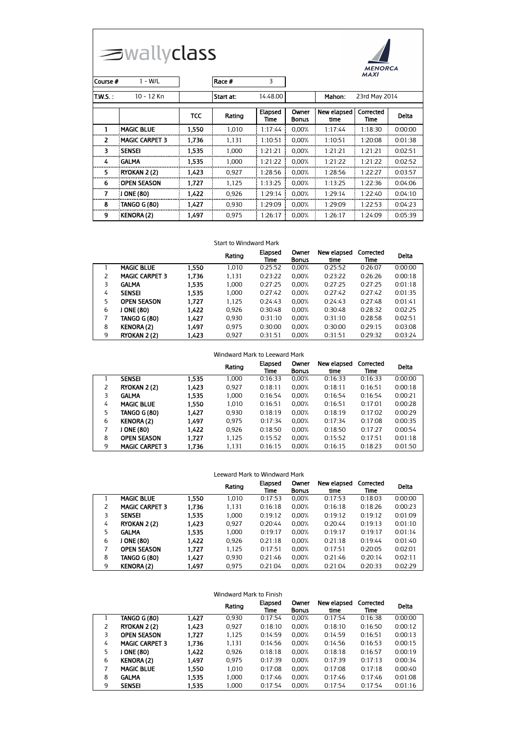| Course #   | $\equiv$ wallyclass<br>$1 - W/L$ |            |           |                 | <b>MENORCA</b><br><b>MAXI</b> |                     |                   |              |
|------------|----------------------------------|------------|-----------|-----------------|-------------------------------|---------------------|-------------------|--------------|
| $T.W.S.$ : | 10 - 12 Kn                       |            | Start at: | 14.48.00        |                               | Mahon:              | 23rd May 2014     |              |
|            |                                  | <b>TCC</b> | Rating    | Elapsed<br>Time | Owner<br><b>Bonus</b>         | New elapsed<br>time | Corrected<br>Time | <b>Delta</b> |
| 1          | <b>MAGIC BLUE</b>                | 1,550      | 1,010     | 1:17:44         | 0,00%                         | 1:17:44             | 1:18:30           | 0:00:00      |
| 2          | <b>MAGIC CARPET 3</b>            | 1,736      | 1,131     | 1:10:51         | 0,00%                         | 1:10:51             | 1:20:08           | 0:01:38      |
| 3.         | <b>SENSEI</b>                    | 1.535      | 1.000     | 1:21:21         | 0,00%                         | 1:21:21             | 1:21:21           | 0:02:51      |
| 4          | <b>GALMA</b>                     | 1.535      | 1,000     | 1:21:22         | 0,00%                         | 1:21:22             | 1:21:22           | 0:02:52      |
| 5          | RYOKAN 2 (2)                     | 1,423      | 0.927     | 1:28:56         | 0.00%                         | 1:28:56             | 1:22:27           | 0:03:57      |
| 6          | <b>OPEN SEASON</b>               | 1,727      | 1,125     | 1:13:25         | 0.00%                         | 1:13:25             | 1:22:36           | 0:04:06      |
| 7          | J ONE (80)                       | 1,422      | 0,926     | 1:29:14         | 0,00%                         | 1:29:14             | 1:22:40           | 0:04:10      |
| 8          | <b>TANGO G (80)</b>              | 1,427      | 0,930     | 1:29:09         | 0,00%                         | 1:29:09             | 1:22:53           | 0:04:23      |
| 9          | <b>KENORA (2)</b>                | 1,497      | 0.975     | 1:26:17         | 0,00%                         | 1:26:17             | 1:24:09           | 0:05:39      |

#### Start to Windward Mark

|    |                       |       | Rating | Elapsed<br>Time | Owner<br><b>Bonus</b> | New elapsed<br>time | Corrected<br>Time | Delta   |
|----|-----------------------|-------|--------|-----------------|-----------------------|---------------------|-------------------|---------|
|    | <b>MAGIC BLUE</b>     | 1,550 | 1.010  | 0:25:52         | 0.00%                 | 0:25:52             | 0:26:07           | 0:00:00 |
| 2  | <b>MAGIC CARPET 3</b> | 1.736 | 1,131  | 0:23:22         | 0.00%                 | 0:23:22             | 0:26:26           | 0:00:18 |
| 3  | <b>GALMA</b>          | 1.535 | 1,000  | 0:27:25         | 0.00%                 | 0:27:25             | 0:27:25           | 0:01:18 |
| 4  | <b>SENSEI</b>         | 1.535 | 1.000  | 0:27:42         | 0.00%                 | 0:27:42             | 0:27:42           | 0:01:35 |
| 5. | <b>OPEN SEASON</b>    | 1.727 | 1,125  | 0:24:43         | 0.00%                 | 0:24:43             | 0:27:48           | 0:01:41 |
| 6  | J ONE (80)            | 1,422 | 0.926  | 0:30:48         | 0.00%                 | 0:30:48             | 0:28:32           | 0:02:25 |
|    | TANGO G (80)          | 1.427 | 0.930  | 0:31:10         | 0.00%                 | 0:31:10             | 0:28:58           | 0:02:51 |
| 8  | <b>KENORA (2)</b>     | 1.497 | 0.975  | 0:30:00         | 0.00%                 | 0:30:00             | 0:29:15           | 0:03:08 |
| 9  | RYOKAN 2 (2)          | 1.423 | 0.927  | 0:31:51         | 0.00%                 | 0:31:51             | 0:29:32           | 0:03:24 |

#### Windward Mark to Leeward Mark

|   |                       |       | Rating | Elapsed<br>Time | Owner<br><b>Bonus</b> | New elapsed<br>time | Corrected<br>Time | Delta   |
|---|-----------------------|-------|--------|-----------------|-----------------------|---------------------|-------------------|---------|
|   | <b>SENSEI</b>         | 1.535 | 1.000  | 0:16:33         | $0.00\%$              | 0:16:33             | 0:16:33           | 0:00:00 |
| 2 | RYOKAN 2 (2)          | 1.423 | 0.927  | 0:18:11         | 0.00%                 | 0:18:11             | 0:16:51           | 0:00:18 |
| 3 | <b>GALMA</b>          | 1.535 | 1.000  | 0:16:54         | 0.00%                 | 0:16:54             | 0:16:54           | 0:00:21 |
| 4 | <b>MAGIC BLUE</b>     | 1.550 | 1.010  | 0:16:51         | 0.00%                 | 0:16:51             | 0:17:01           | 0:00:28 |
| 5 | TANGO G (80)          | 1.427 | 0.930  | 0:18:19         | 0.00%                 | 0:18:19             | 0:17:02           | 0:00:29 |
| 6 | <b>KENORA (2)</b>     | 1.497 | 0.975  | 0:17:34         | 0.00%                 | 0:17:34             | 0:17:08           | 0:00:35 |
| 7 | <b>ONE (80)</b>       | 1,422 | 0,926  | 0:18:50         | 0.00%                 | 0:18:50             | 0:17:27           | 0:00:54 |
| 8 | <b>OPEN SEASON</b>    | 1.727 | 1,125  | 0:15:52         | 0.00%                 | 0:15:52             | 0:17:51           | 0:01:18 |
| 9 | <b>MAGIC CARPET 3</b> | 1,736 | 1,131  | 0:16:15         | 0.00%                 | 0:16:15             | 0:18:23           | 0:01:50 |

| Leeward Mark to Windward Mark                                                                  |                       |       |       |         |          |         |         |         |  |
|------------------------------------------------------------------------------------------------|-----------------------|-------|-------|---------|----------|---------|---------|---------|--|
| New elapsed<br>Owner<br>Elapsed<br>Corrected<br>Rating<br>time<br><b>Bonus</b><br>Time<br>Time |                       |       |       |         |          |         |         |         |  |
|                                                                                                | <b>MAGIC BLUE</b>     | 1,550 | 1.010 | 0:17:53 | 0.00%    | 0:17:53 | 0:18:03 | 0:00:00 |  |
| 2                                                                                              | <b>MAGIC CARPET 3</b> | 1.736 | 1,131 | 0:16:18 | 0.00%    | 0:16:18 | 0:18:26 | 0:00:23 |  |
| 3                                                                                              | <b>SENSEI</b>         | 1.535 | 1,000 | 0:19:12 | 0.00%    | 0:19:12 | 0:19:12 | 0:01:09 |  |
| 4                                                                                              | RYOKAN 2 (2)          | 1.423 | 0,927 | 0:20:44 | 0.00%    | 0:20:44 | 0:19:13 | 0:01:10 |  |
| 5.                                                                                             | <b>GALMA</b>          | 1.535 | 1.000 | 0:19:17 | 0.00%    | 0:19:17 | 0:19:17 | 0:01:14 |  |
| 6                                                                                              | J ONE (80)            | 1.422 | 0,926 | 0:21:18 | 0.00%    | 0:21:18 | 0:19:44 | 0:01:40 |  |
| 7                                                                                              | <b>OPEN SEASON</b>    | 1.727 | 1,125 | 0:17:51 | 0.00%    | 0:17:51 | 0:20:05 | 0:02:01 |  |
| 8                                                                                              | <b>TANGO G (80)</b>   | 1.427 | 0,930 | 0:21:46 | 0.00%    | 0:21:46 | 0:20:14 | 0:02:11 |  |
| 9                                                                                              | <b>KENORA (2)</b>     | 1,497 | 0.975 | 0:21:04 | $0.00\%$ | 0:21:04 | 0:20:33 | 0:02:29 |  |

| Windward Mark to Finish |                       |       |        |                 |                       |                     |                   |         |
|-------------------------|-----------------------|-------|--------|-----------------|-----------------------|---------------------|-------------------|---------|
|                         |                       |       | Rating | Elapsed<br>Time | Owner<br><b>Bonus</b> | New elapsed<br>time | Corrected<br>Time | Delta   |
|                         | TANGO G (80)          | 1.427 | 0.930  | 0:17:54         | $0.00\%$              | 0:17:54             | 0:16:38           | 0:00:00 |
| 2                       | RYOKAN 2 (2)          | 1.423 | 0.927  | 0:18:10         | $0.00\%$              | 0:18:10             | 0:16:50           | 0:00:12 |
| 3                       | <b>OPEN SEASON</b>    | 1.727 | 1.125  | 0:14:59         | 0.00%                 | 0:14:59             | 0:16:51           | 0:00:13 |
| 4                       | <b>MAGIC CARPET 3</b> | 1,736 | 1,131  | 0:14:56         | $0.00\%$              | 0:14:56             | 0:16:53           | 0:00:15 |
| 5                       | J ONE (80)            | 1,422 | 0.926  | 0:18:18         | 0.00%                 | 0:18:18             | 0:16:57           | 0:00:19 |
| 6                       | <b>KENORA (2)</b>     | 1.497 | 0.975  | 0:17:39         | $0.00\%$              | 0:17:39             | 0:17:13           | 0:00:34 |
| 7                       | <b>MAGIC BLUE</b>     | 1,550 | 1.010  | 0:17:08         | 0.00%                 | 0:17:08             | 0:17:18           | 0:00:40 |
| 8                       | <b>GALMA</b>          | 1,535 | 1.000  | 0:17:46         | 0.00%                 | 0:17:46             | 0:17:46           | 0:01:08 |
| 9                       | <b>SENSEI</b>         | 1.535 | 1.000  | 0:17:54         | 0.00%                 | 0:17:54             | 0:17:54           | 0:01:16 |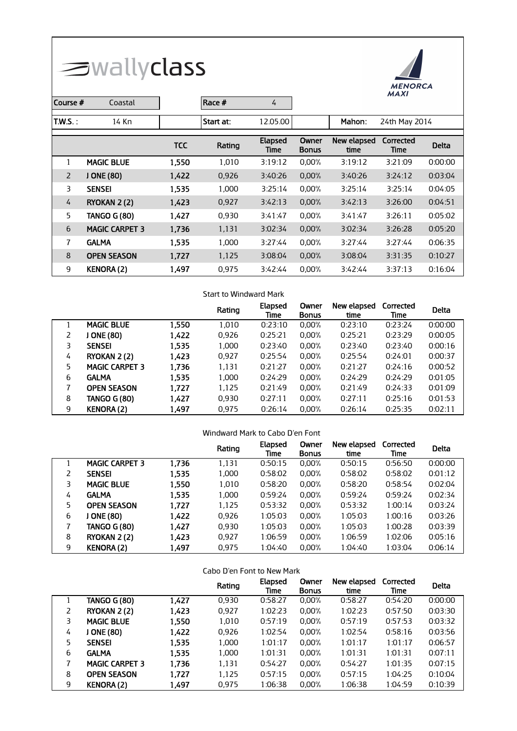| Course #       | $\equiv$ wallyclass<br>Coastal |            |           |                               | <b>MENORCA</b><br><b>MAXI</b> |                     |                          |              |
|----------------|--------------------------------|------------|-----------|-------------------------------|-------------------------------|---------------------|--------------------------|--------------|
| <b>T.W.S.:</b> | 14 Kn                          |            | Start at: | 12.05.00                      |                               | Mahon:              | 24th May 2014            |              |
|                |                                | <b>TCC</b> | Rating    | <b>Elapsed</b><br><b>Time</b> | Owner<br><b>Bonus</b>         | New elapsed<br>time | Corrected<br><b>Time</b> | <b>Delta</b> |
| 1              | <b>MAGIC BLUE</b>              | 1,550      | 1,010     | 3:19:12                       | 0,00%                         | 3:19:12             | 3:21:09                  | 0:00:00      |
| $\overline{2}$ | J ONE (80)                     | 1,422      | 0,926     | 3:40:26                       | 0,00%                         | 3:40:26             | 3:24:12                  | 0:03:04      |
| 3              | <b>SENSEI</b>                  | 1,535      | 1,000     | 3:25:14                       | 0,00%                         | 3:25:14             | 3:25:14                  | 0:04:05      |
| 4              | RYOKAN 2(2)                    | 1,423      | 0,927     | 3:42:13                       | 0,00%                         | 3:42:13             | 3:26:00                  | 0:04:51      |
| 5              | <b>TANGO G (80)</b>            | 1,427      | 0,930     | 3:41:47                       | 0,00%                         | 3:41:47             | 3:26:11                  | 0:05:02      |
| 6              | <b>MAGIC CARPET 3</b>          | 1,736      | 1,131     | 3:02:34                       | 0,00%                         | 3:02:34             | 3:26:28                  | 0:05:20      |
| 7              | <b>GALMA</b>                   | 1,535      | 1,000     | 3:27:44                       | 0,00%                         | 3:27:44             | 3:27:44                  | 0:06:35      |
| 8              | <b>OPEN SEASON</b>             | 1,727      | 1,125     | 3:08:04                       | 0,00%                         | 3:08:04             | 3:31:35                  | 0:10:27      |
| 9              | <b>KENORA (2)</b>              | 1,497      | 0,975     | 3:42:44                       | 0,00%                         | 3:42:44             | 3:37:13                  | 0:16:04      |

٦

 $\overline{1}$ 

#### Start to Windward Mark

|    |                       |       | Rating | Elapsed<br>Time | Owner<br><b>Bonus</b> | New elapsed<br>time | Corrected<br>Time | <b>Delta</b> |
|----|-----------------------|-------|--------|-----------------|-----------------------|---------------------|-------------------|--------------|
|    | <b>MAGIC BLUE</b>     | 1,550 | 1,010  | 0:23:10         | 0,00%                 | 0:23:10             | 0:23:24           | 0:00:00      |
| 2  | J ONE (80)            | 1.422 | 0.926  | 0:25:21         | $0.00\%$              | 0:25:21             | 0:23:29           | 0:00:05      |
| 3  | <b>SENSEI</b>         | 1,535 | 1.000  | 0:23:40         | $0.00\%$              | 0:23:40             | 0:23:40           | 0:00:16      |
| 4  | RYOKAN 2(2)           | 1.423 | 0,927  | 0:25:54         | $0.00\%$              | 0:25:54             | 0:24:01           | 0:00:37      |
| 5. | <b>MAGIC CARPET 3</b> | 1.736 | 1,131  | 0:21:27         | $0.00\%$              | 0:21:27             | 0:24:16           | 0:00:52      |
| 6  | <b>GALMA</b>          | 1.535 | 1,000  | 0:24:29         | 0.00%                 | 0:24:29             | 0:24:29           | 0:01:05      |
|    | <b>OPEN SEASON</b>    | 1.727 | 1,125  | 0:21:49         | 0.00%                 | 0:21:49             | 0:24:33           | 0:01:09      |
| 8  | TANGO G (80)          | 1,427 | 0,930  | 0:27:11         | 0.00%                 | 0:27:11             | 0:25:16           | 0:01:53      |
| 9  | <b>KENORA (2)</b>     | 1,497 | 0,975  | 0:26:14         | 0,00%                 | 0:26:14             | 0:25:35           | 0:02:11      |

### Windward Mark to Cabo D'en Font

|   |                       |       | Rating | Elapsed<br>Time | Owner<br><b>Bonus</b> | New elapsed<br>time | Corrected<br>Time | <b>Delta</b> |
|---|-----------------------|-------|--------|-----------------|-----------------------|---------------------|-------------------|--------------|
|   | <b>MAGIC CARPET 3</b> | 1,736 | 1,131  | 0:50:15         | 0.00%                 | 0:50:15             | 0:56:50           | 0:00:00      |
| 2 | <b>SENSEI</b>         | 1,535 | 1,000  | 0:58:02         | 0.00%                 | 0:58:02             | 0:58:02           | 0:01:12      |
| 3 | <b>MAGIC BLUE</b>     | 1.550 | 1,010  | 0:58:20         | 0.00%                 | 0:58:20             | 0:58:54           | 0:02:04      |
| 4 | <b>GALMA</b>          | 1,535 | 1,000  | 0:59:24         | 0.00%                 | 0:59:24             | 0:59:24           | 0:02:34      |
| 5 | <b>OPEN SEASON</b>    | 1.727 | 1,125  | 0:53:32         | 0.00%                 | 0:53:32             | 1:00:14           | 0:03:24      |
| 6 | ONE (80)              | 1,422 | 0,926  | 1:05:03         | 0.00%                 | 1:05:03             | 1:00:16           | 0:03:26      |
|   | <b>TANGO G (80)</b>   | 1.427 | 0.930  | 1:05:03         | 0.00%                 | 1:05:03             | 1:00:28           | 0:03:39      |
| 8 | RYOKAN 2(2)           | 1.423 | 0.927  | 1:06:59         | 0.00%                 | 1:06:59             | 1:02:06           | 0:05:16      |
| 9 | <b>KENORA (2)</b>     | 1,497 | 0.975  | 1:04:40         | 0.00%                 | 1:04:40             | 1:03:04           | 0:06:14      |

#### Cabo D'en Font to New Mark

|    |                       |       | Rating | Elapsed<br>Time | Owner<br><b>Bonus</b> | New elapsed<br>time | Corrected<br>Time | <b>Delta</b> |
|----|-----------------------|-------|--------|-----------------|-----------------------|---------------------|-------------------|--------------|
|    | <b>TANGO G (80)</b>   | 1,427 | 0,930  | 0:58:27         | 0,00%                 | 0:58:27             | 0:54:20           | 0:00:00      |
| 2  | RYOKAN 2(2)           | 1,423 | 0.927  | 1:02:23         | 0.00%                 | 1:02:23             | 0:57:50           | 0:03:30      |
| 3  | <b>MAGIC BLUE</b>     | 1,550 | 1,010  | 0:57:19         | 0.00%                 | 0:57:19             | 0:57:53           | 0:03:32      |
| 4  | ONE (80)              | 1.422 | 0,926  | 1:02:54         | 0.00%                 | 1:02:54             | 0:58:16           | 0:03:56      |
| 5. | <b>SENSEI</b>         | 1,535 | 1,000  | 1:01:17         | 0.00%                 | 1:01:17             | 1:01:17           | 0:06:57      |
| 6  | <b>GALMA</b>          | 1,535 | 1,000  | 1:01:31         | 0.00%                 | 1:01:31             | 1:01:31           | 0:07:11      |
| 7  | <b>MAGIC CARPET 3</b> | 1.736 | 1,131  | 0:54:27         | 0.00%                 | 0:54:27             | 1:01:35           | 0:07:15      |
| 8  | <b>OPEN SEASON</b>    | 1.727 | 1,125  | 0:57:15         | 0.00%                 | 0:57:15             | 1:04:25           | 0:10:04      |
| 9  | <b>KENORA (2)</b>     | 1,497 | 0,975  | 1:06:38         | 0.00%                 | 1:06:38             | 1:04:59           | 0:10:39      |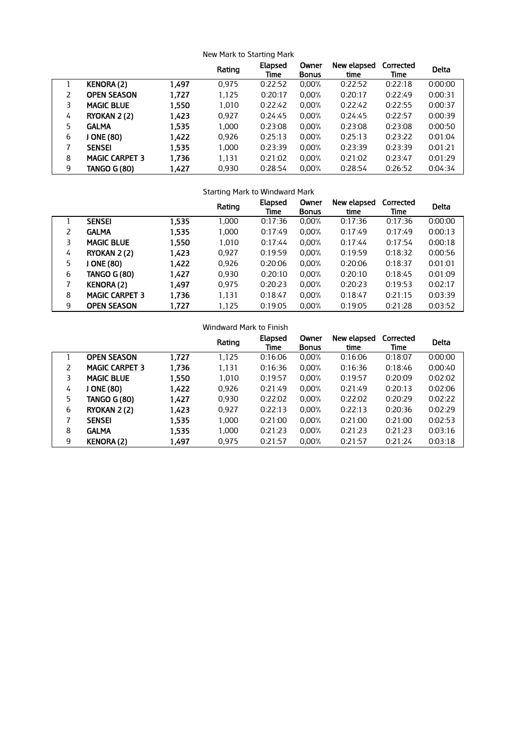| New Mark to Starting Mark                                                                               |                       |       |       |         |       |         |         |         |  |  |
|---------------------------------------------------------------------------------------------------------|-----------------------|-------|-------|---------|-------|---------|---------|---------|--|--|
| Elapsed<br>New elapsed<br>Owner<br>Corrected<br>Rating<br>Delta<br><b>Bonus</b><br>time<br>Time<br>Time |                       |       |       |         |       |         |         |         |  |  |
|                                                                                                         | <b>KENORA (2)</b>     | 1.497 | 0,975 | 0:22:52 | 0,00% | 0:22:52 | 0:22:18 | 0:00:00 |  |  |
| 2                                                                                                       | <b>OPEN SEASON</b>    | 1,727 | 1,125 | 0:20:17 | 0.00% | 0:20:17 | 0:22:49 | 0:00:31 |  |  |
| 3                                                                                                       | <b>MAGIC BLUE</b>     | 1,550 | 1,010 | 0:22:42 | 0.00% | 0:22:42 | 0:22:55 | 0:00:37 |  |  |
| 4                                                                                                       | RYOKAN 2(2)           | 1.423 | 0.927 | 0:24:45 | 0.00% | 0:24:45 | 0:22:57 | 0:00:39 |  |  |
| 5.                                                                                                      | <b>GALMA</b>          | 1,535 | 1.000 | 0:23:08 | 0.00% | 0:23:08 | 0:23:08 | 0:00:50 |  |  |
| 6                                                                                                       | J ONE (80)            | 1.422 | 0,926 | 0:25:13 | 0.00% | 0:25:13 | 0:23:22 | 0:01:04 |  |  |
| 7                                                                                                       | <b>SENSEI</b>         | 1.535 | 1,000 | 0:23:39 | 0.00% | 0:23:39 | 0:23:39 | 0:01:21 |  |  |
| 8                                                                                                       | <b>MAGIC CARPET 3</b> | 1,736 | 1,131 | 0:21:02 | 0.00% | 0:21:02 | 0:23:47 | 0:01:29 |  |  |
| 9                                                                                                       | <b>TANGO G (80)</b>   | 1,427 | 0,930 | 0:28:54 | 0.00% | 0:28:54 | 0:26:52 | 0:04:34 |  |  |

#### Starting Mark to Windward Mark

|    |                       |       | Rating | <b>Elapsed</b><br>Time | Owner<br><b>Bonus</b> | New elapsed<br>time | Corrected<br>Time | <b>Delta</b> |
|----|-----------------------|-------|--------|------------------------|-----------------------|---------------------|-------------------|--------------|
|    | <b>SENSEI</b>         | 1.535 | 000. I | 0:17:36                | $0.00\%$              | 0:17:36             | 0:17:36           | 0:00:00      |
|    | <b>GALMA</b>          | 1,535 | 1,000  | 0:17:49                | $0.00\%$              | 0:17:49             | 0:17:49           | 0:00:13      |
| 3  | <b>MAGIC BLUE</b>     | 1.550 | 1,010  | 0:17:44                | $0.00\%$              | 0:17:44             | 0:17:54           | 0:00:18      |
| 4  | RYOKAN 2(2)           | 1.423 | 0.927  | 0:19:59                | $0.00\%$              | 0:19:59             | 0:18:32           | 0:00:56      |
| 5. | J ONE (80)            | 1,422 | 0.926  | 0:20:06                | 0.00%                 | 0:20:06             | 0:18:37           | 0:01:01      |
| 6  | <b>TANGO G (80)</b>   | 1.427 | 0.930  | 0:20:10                | 0.00%                 | 0:20:10             | 0:18:45           | 0:01:09      |
| 7  | <b>KENORA (2)</b>     | 1,497 | 0.975  | 0:20:23                | $0.00\%$              | 0:20:23             | 0:19:53           | 0:02:17      |
| 8  | <b>MAGIC CARPET 3</b> | 1.736 | 1,131  | 0:18:47                | $0.00\%$              | 0:18:47             | 0:21:15           | 0:03:39      |
| 9  | <b>OPEN SEASON</b>    | 1,727 | 1,125  | 0:19:05                | 0,00%                 | 0:19:05             | 0:21:28           | 0:03:52      |

#### Windward Mark to Finish

|   |                       |       | Rating | <b>Elapsed</b><br>Time | Owner<br><b>Bonus</b> | New elapsed<br>time | Corrected<br><b>Time</b> | Delta   |
|---|-----------------------|-------|--------|------------------------|-----------------------|---------------------|--------------------------|---------|
|   | <b>OPEN SEASON</b>    | 1.727 | 1,125  | 0:16:06                | 0,00%                 | 0:16:06             | 0:18:07                  | 0:00:00 |
| 2 | <b>MAGIC CARPET 3</b> | 1.736 | 1,131  | 0:16:36                | 0.00%                 | 0:16:36             | 0:18:46                  | 0:00:40 |
| 3 | <b>MAGIC BLUE</b>     | 1.550 | 1,010  | 0:19:57                | 0.00%                 | 0:19:57             | 0:20:09                  | 0:02:02 |
| 4 | J ONE (80)            | 1,422 | 0.926  | 0:21:49                | 0.00%                 | 0:21:49             | 0:20:13                  | 0:02:06 |
| 5 | TANGO G (80)          | 1.427 | 0.930  | 0:22:02                | 0.00%                 | 0:22:02             | 0:20:29                  | 0:02:22 |
| 6 | RYOKAN 2(2)           | 1,423 | 0.927  | 0:22:13                | 0.00%                 | 0:22:13             | 0:20:36                  | 0:02:29 |
|   | <b>SENSEI</b>         | 1.535 | 1,000  | 0:21:00                | 0.00%                 | 0:21:00             | 0:21:00                  | 0:02:53 |
| 8 | <b>GALMA</b>          | 1.535 | 1.000  | 0:21:23                | 0.00%                 | 0:21:23             | 0:21:23                  | 0:03:16 |
| 9 | <b>KENORA (2)</b>     | 1.497 | 0.975  | 0:21:57                | 0.00%                 | 0:21:57             | 0:21:24                  | 0:03:18 |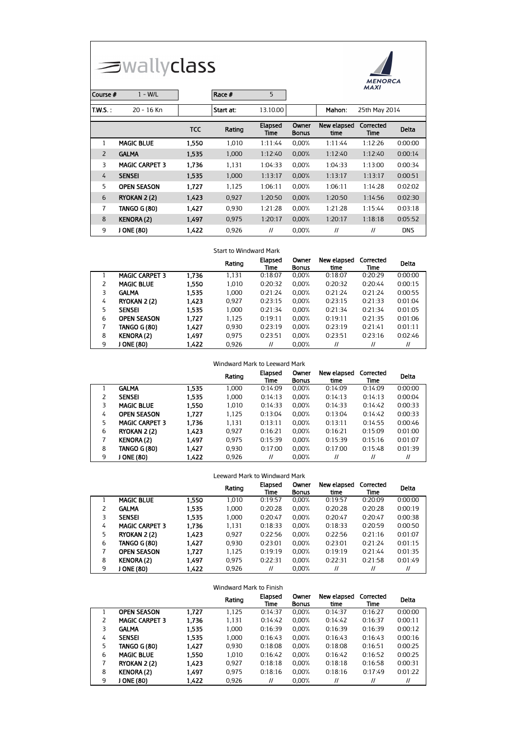| Course #       | $\equiv$ wallyclass<br>$1 - W/L$ |            |           | <b>MENORCA</b><br><b>MAXI</b> |                       |                     |                   |              |
|----------------|----------------------------------|------------|-----------|-------------------------------|-----------------------|---------------------|-------------------|--------------|
| $TMS.$ :       | 20 - 16 Kn                       |            | Start at: | 13.10.00                      |                       | Mahon:              | 25th May 2014     |              |
|                |                                  | <b>TCC</b> | Rating    | Elapsed<br>Time               | Owner<br><b>Bonus</b> | New elapsed<br>time | Corrected<br>Time | <b>Delta</b> |
| 1              | <b>MAGIC BLUE</b>                | 1,550      | 1.010     | 1:11:44                       | 0.00%                 | 1:11:44             | 1:12:26           | 0:00:00      |
| $\overline{2}$ | <b>GALMA</b>                     | 1,535      | 1,000     | 1:12:40                       | 0,00%                 | 1:12:40             | 1:12:40           | 0:00:14      |
| 3              | <b>MAGIC CARPET 3</b>            | 1,736      | 1,131     | 1:04:33                       | 0.00%                 | 1:04:33             | 1:13:00           | 0:00:34      |
| 4              | <b>SENSEI</b>                    | 1.535      | 1,000     | 1:13:17                       | 0,00%                 | 1:13:17             | 1:13:17           | 0:00:51      |
| 5              | <b>OPEN SEASON</b>               | 1.727      | 1.125     | 1:06:11                       | 0.00%                 | 1:06:11             | 1:14:28           | 0:02:02      |
| 6              | RYOKAN 2 (2)                     | 1,423      | 0,927     | 1:20:50                       | 0,00%                 | 1:20:50             | 1:14:56           | 0:02:30      |
| 7              | TANGO G (80)                     | 1,427      | 0,930     | 1:21:28                       | 0,00%                 | 1:21:28             | 1:15:44           | 0:03:18      |
| 8              | <b>KENORA (2)</b>                | 1,497      | 0,975     | 1:20:17                       | 0,00%                 | 1:20:17             | 1:18:18           | 0:05:52      |
| 9              | J ONE (80)                       | 1,422      | 0,926     | $^{\prime\prime}$             | $0,00\%$              | $^{\prime\prime}$   | $\prime$          | <b>DNS</b>   |

#### Start to Windward Mark

|   |                       |       | Rating | Elapsed<br>Time   | Owner<br><b>Bonus</b> | New elapsed<br>time | Corrected<br><b>Time</b> | <b>Delta</b>      |
|---|-----------------------|-------|--------|-------------------|-----------------------|---------------------|--------------------------|-------------------|
|   | <b>MAGIC CARPET 3</b> | 1.736 | 1,131  | 0:18:07           | 0.00%                 | 0:18:07             | 0:20:29                  | 0:00:00           |
| 2 | <b>MAGIC BLUE</b>     | 1.550 | 1.010  | 0:20:32           | 0.00%                 | 0:20:32             | 0:20:44                  | 0:00:15           |
| 3 | <b>GALMA</b>          | 1,535 | 1.000  | 0:21:24           | 0.00%                 | 0:21:24             | 0:21:24                  | 0:00:55           |
| 4 | RYOKAN 2 (2)          | 1.423 | 0.927  | 0:23:15           | 0.00%                 | 0:23:15             | 0:21:33                  | 0:01:04           |
| 5 | <b>SENSEI</b>         | 1.535 | 1.000  | 0:21:34           | 0.00%                 | 0:21:34             | 0:21:34                  | 0:01:05           |
| 6 | <b>OPEN SEASON</b>    | 1.727 | 1.125  | 0:19:11           | 0.00%                 | 0:19:11             | 0:21:35                  | 0:01:06           |
|   | TANGO G (80)          | 1.427 | 0.930  | 0:23:19           | 0.00%                 | 0:23:19             | 0:21:41                  | 0:01:11           |
| 8 | <b>KENORA (2)</b>     | 1,497 | 0.975  | 0:23:51           | 0.00%                 | 0:23:51             | 0:23:16                  | 0:02:46           |
| 9 | <b>ONE (80)</b>       | 1.422 | 0.926  | $^{\prime\prime}$ | 0.00%                 | $^{\prime\prime}$   | 11                       | $^{\prime\prime}$ |

| Windward Mark to Leeward Mark |                       |       |        |                 |                       |                     |                   |              |
|-------------------------------|-----------------------|-------|--------|-----------------|-----------------------|---------------------|-------------------|--------------|
|                               |                       |       | Rating | Elapsed<br>Time | Owner<br><b>Bonus</b> | New elapsed<br>time | Corrected<br>Time | <b>Delta</b> |
|                               | <b>GALMA</b>          | 1.535 | 1,000  | 0:14:09         | $0,00\%$              | 0:14:09             | 0:14:09           | 0:00:00      |
| 2                             | <b>SENSEI</b>         | 1.535 | 1.000  | 0:14:13         | $0.00\%$              | 0:14:13             | 0:14:13           | 0:00:04      |
| 3                             | <b>MAGIC BLUE</b>     | 1,550 | 1,010  | 0:14:33         | $0.00\%$              | 0:14:33             | 0:14:42           | 0:00:33      |
| 4                             | <b>OPEN SEASON</b>    | 1.727 | 1,125  | 0:13:04         | $0.00\%$              | 0:13:04             | 0:14:42           | 0:00:33      |
| 5                             | <b>MAGIC CARPET 3</b> | 1,736 | 1,131  | 0:13:11         | $0.00\%$              | 0:13:11             | 0:14:55           | 0:00:46      |
| 6                             | RYOKAN 2 (2)          | 1,423 | 0.927  | 0:16:21         | $0.00\%$              | 0:16:21             | 0:15:09           | 0:01:00      |
| 7                             | <b>KENORA (2)</b>     | 1.497 | 0.975  | 0:15:39         | $0.00\%$              | 0:15:39             | 0:15:16           | 0:01:07      |
| 8                             | TANGO G (80)          | 1,427 | 0.930  | 0:17:00         | 0.00%                 | 0:17:00             | 0:15:48           | 0:01:39      |
| 9                             | <b>ONE (80)</b>       | 1.422 | 0.926  | 11              | 0.00%                 | $^{\prime\prime}$   | $^{\prime\prime}$ | 11           |

| Leeward Mark to Windward Mark |                       |       |        |                 |                       |                     |                   |                   |
|-------------------------------|-----------------------|-------|--------|-----------------|-----------------------|---------------------|-------------------|-------------------|
|                               |                       |       | Rating | Elapsed<br>Time | Owner<br><b>Bonus</b> | New elapsed<br>time | Corrected<br>Time | <b>Delta</b>      |
|                               | <b>MAGIC BLUE</b>     | 1.550 | 1.010  | 0:19:57         | 0.00%                 | 0:19:57             | 0:20:09           | 0:00:00           |
| 2                             | <b>GALMA</b>          | 1.535 | 1.000  | 0:20:28         | 0.00%                 | 0:20:28             | 0:20:28           | 0:00:19           |
| 3                             | <b>SENSEI</b>         | 1.535 | 1,000  | 0:20:47         | 0.00%                 | 0:20:47             | 0:20:47           | 0:00:38           |
| 4                             | <b>MAGIC CARPET 3</b> | 1.736 | 1.131  | 0:18:33         | 0.00%                 | 0:18:33             | 0:20:59           | 0:00:50           |
| 5                             | RYOKAN 2 (2)          | 1,423 | 0.927  | 0:22:56         | 0.00%                 | 0:22:56             | 0:21:16           | 0:01:07           |
| 6                             | <b>TANGO G (80)</b>   | 1.427 | 0.930  | 0:23:01         | 0.00%                 | 0:23:01             | 0:21:24           | 0:01:15           |
| 7                             | <b>OPEN SEASON</b>    | 1,727 | 1,125  | 0:19:19         | 0.00%                 | 0:19:19             | 0:21:44           | 0:01:35           |
| 8                             | <b>KENORA (2)</b>     | 1.497 | 0.975  | 0:22:31         | 0.00%                 | 0:22:31             | 0:21:58           | 0:01:49           |
| 9                             | <b>ONE (80)</b>       | 1,422 | 0.926  | $\prime$        | 0.00%                 | $^{\prime\prime}$   | $^{\prime\prime}$ | $^{\prime\prime}$ |

| Windward Mark to Finish |                       |       |        |                   |                       |                     |                   |              |
|-------------------------|-----------------------|-------|--------|-------------------|-----------------------|---------------------|-------------------|--------------|
|                         |                       |       | Rating | Elapsed<br>Time   | Owner<br><b>Bonus</b> | New elapsed<br>time | Corrected<br>Time | <b>Delta</b> |
|                         | <b>OPEN SEASON</b>    | 1.727 | 1.125  | 0:14:37           | 0.00%                 | 0:14:37             | 0:16:27           | 0:00:00      |
| 2                       | <b>MAGIC CARPET 3</b> | 1.736 | 1,131  | 0:14:42           | $0.00\%$              | 0:14:42             | 0:16:37           | 0:00:11      |
| 3                       | <b>GALMA</b>          | 1.535 | 1.000  | 0:16:39           | $0.00\%$              | 0:16:39             | 0:16:39           | 0:00:12      |
| 4                       | <b>SENSEI</b>         | 1,535 | 1.000  | 0:16:43           | $0.00\%$              | 0:16:43             | 0:16:43           | 0:00:16      |
| 5                       | TANGO G (80)          | 1.427 | 0.930  | 0:18:08           | $0.00\%$              | 0:18:08             | 0:16:51           | 0:00:25      |
| 6                       | <b>MAGIC BLUE</b>     | 1,550 | 1.010  | 0:16:42           | $0.00\%$              | 0:16:42             | 0:16:52           | 0:00:25      |
| 7                       | RYOKAN 2 (2)          | 1.423 | 0,927  | 0:18:18           | $0.00\%$              | 0:18:18             | 0:16:58           | 0:00:31      |
| 8                       | <b>KENORA (2)</b>     | 1.497 | 0.975  | 0:18:16           | 0.00%                 | 0:18:16             | 0:17:49           | 0:01:22      |
| 9                       | <b>ONE (80)</b>       | 1.422 | 0.926  | $^{\prime\prime}$ | 0.00%                 | $^{\prime\prime}$   | $^{\prime\prime}$ |              |